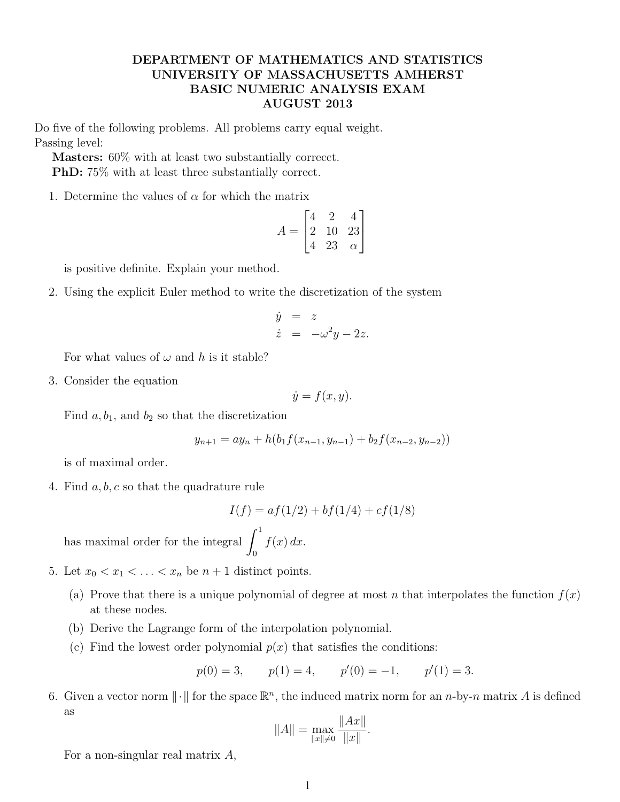## DEPARTMENT OF MATHEMATICS AND STATISTICS UNIVERSITY OF MASSACHUSETTS AMHERST BASIC NUMERIC ANALYSIS EXAM AUGUST 2013

Do five of the following problems. All problems carry equal weight. Passing level:

Masters: 60% with at least two substantially correcct. PhD: 75% with at least three substantially correct.

1. Determine the values of  $\alpha$  for which the matrix

$$
A = \begin{bmatrix} 4 & 2 & 4 \\ 2 & 10 & 23 \\ 4 & 23 & \alpha \end{bmatrix}
$$

is positive definite. Explain your method.

2. Using the explicit Euler method to write the discretization of the system

$$
\dot{y} = z
$$
  

$$
\dot{z} = -\omega^2 y - 2z.
$$

For what values of  $\omega$  and h is it stable?

3. Consider the equation

$$
\dot{y} = f(x, y).
$$

Find  $a, b_1$ , and  $b_2$  so that the discretization

$$
y_{n+1} = ay_n + h(b_1f(x_{n-1}, y_{n-1}) + b_2f(x_{n-2}, y_{n-2}))
$$

is of maximal order.

4. Find  $a, b, c$  so that the quadrature rule

$$
I(f) = af(1/2) + bf(1/4) + cf(1/8)
$$

has maximal order for the integral  $\int_1^1$  $\boldsymbol{0}$  $f(x) dx$ .

- 5. Let  $x_0 < x_1 < \ldots < x_n$  be  $n + 1$  distinct points.
	- (a) Prove that there is a unique polynomial of degree at most n that interpolates the function  $f(x)$ at these nodes.
	- (b) Derive the Lagrange form of the interpolation polynomial.
	- (c) Find the lowest order polynomial  $p(x)$  that satisfies the conditions:

$$
p(0) = 3,
$$
  $p(1) = 4,$   $p'(0) = -1,$   $p'(1) = 3.$ 

6. Given a vector norm  $\|\cdot\|$  for the space  $\mathbb{R}^n$ , the induced matrix norm for an n-by-n matrix A is defined as

$$
||A|| = \max_{||x|| \neq 0} \frac{||Ax||}{||x||}.
$$

For a non-singular real matrix A,